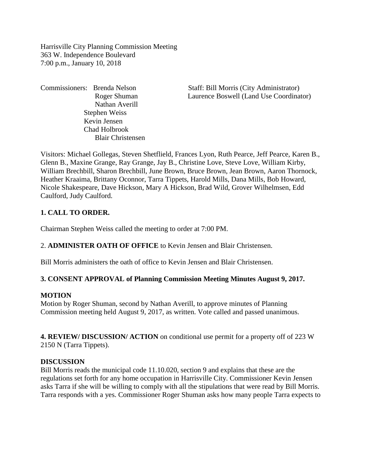Harrisville City Planning Commission Meeting 363 W. Independence Boulevard 7:00 p.m., January 10, 2018

Nathan Averill Stephen Weiss Kevin Jensen Chad Holbrook Blair Christensen

Commissioners: Brenda Nelson Staff: Bill Morris (City Administrator) Roger Shuman Laurence Boswell (Land Use Coordinator)

Visitors: Michael Gollegas, Steven Shetflield, Frances Lyon, Ruth Pearce, Jeff Pearce, Karen B., Glenn B., Maxine Grange, Ray Grange, Jay B., Christine Love, Steve Love, William Kirby, William Brechbill, Sharon Brechbill, June Brown, Bruce Brown, Jean Brown, Aaron Thornock, Heather Kraaima, Brittany Oconnor, Tarra Tippets, Harold Mills, Dana Mills, Bob Howard, Nicole Shakespeare, Dave Hickson, Mary A Hickson, Brad Wild, Grover Wilhelmsen, Edd Caulford, Judy Caulford.

#### **1. CALL TO ORDER.**

Chairman Stephen Weiss called the meeting to order at 7:00 PM.

2. **ADMINISTER OATH OF OFFICE** to Kevin Jensen and Blair Christensen.

Bill Morris administers the oath of office to Kevin Jensen and Blair Christensen.

#### **3. CONSENT APPROVAL of Planning Commission Meeting Minutes August 9, 2017.**

#### **MOTION**

Motion by Roger Shuman, second by Nathan Averill, to approve minutes of Planning Commission meeting held August 9, 2017, as written. Vote called and passed unanimous.

**4. REVIEW/ DISCUSSION/ ACTION** on conditional use permit for a property off of 223 W 2150 N (Tarra Tippets).

#### **DISCUSSION**

Bill Morris reads the municipal code 11.10.020, section 9 and explains that these are the regulations set forth for any home occupation in Harrisville City. Commissioner Kevin Jensen asks Tarra if she will be willing to comply with all the stipulations that were read by Bill Morris. Tarra responds with a yes. Commissioner Roger Shuman asks how many people Tarra expects to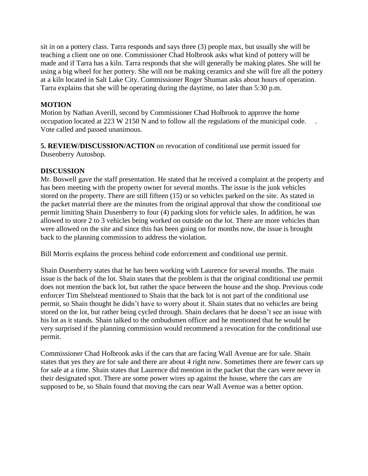sit in on a pottery class. Tarra responds and says three (3) people max, but usually she will be teaching a client one on one. Commissioner Chad Holbrook asks what kind of pottery will be made and if Tarra has a kiln. Tarra responds that she will generally be making plates. She will be using a big wheel for her pottery. She will not be making ceramics and she will fire all the pottery at a kiln located in Salt Lake City. Commissioner Roger Shuman asks about hours of operation. Tarra explains that she will be operating during the daytime, no later than 5:30 p.m.

## **MOTION**

Motion by Nathan Averill, second by Commissioner Chad Holbrook to approve the home occupation located at 223 W 2150 N and to follow all the regulations of the municipal code. . Vote called and passed unanimous.

**5. REVIEW/DISCUSSION/ACTION** on revocation of conditional use permit issued for Dusenberry Autoshop.

## **DISCUSSION**

Mr. Boswell gave the staff presentation. He stated that he received a complaint at the property and has been meeting with the property owner for several months. The issue is the junk vehicles stored on the property. There are still fifteen (15) or so vehicles parked on the site. As stated in the packet material there are the minutes from the original approval that show the conditional use permit limiting Shain Dusenberry to four (4) parking slots for vehicle sales. In addition, he was allowed to store 2 to 3 vehicles being worked on outside on the lot. There are more vehicles than were allowed on the site and since this has been going on for months now, the issue is brought back to the planning commission to address the violation.

Bill Morris explains the process behind code enforcement and conditional use permit.

Shain Dusenberry states that he has been working with Laurence for several months. The main issue is the back of the lot. Shain states that the problem is that the original conditional use permit does not mention the back lot, but rather the space between the house and the shop. Previous code enforcer Tim Shelstead mentioned to Shain that the back lot is not part of the conditional use permit, so Shain thought he didn't have to worry about it. Shain states that no vehicles are being stored on the lot, but rather being cycled through. Shain declares that he doesn't see an issue with his lot as it stands. Shain talked to the ombudsmen officer and he mentioned that he would be very surprised if the planning commission would recommend a revocation for the conditional use permit.

Commissioner Chad Holbrook asks if the cars that are facing Wall Avenue are for sale. Shain states that yes they are for sale and there are about 4 right now. Sometimes there are fewer cars up for sale at a time. Shain states that Laurence did mention in the packet that the cars were never in their designated spot. There are some power wires up against the house, where the cars are supposed to be, so Shain found that moving the cars near Wall Avenue was a better option.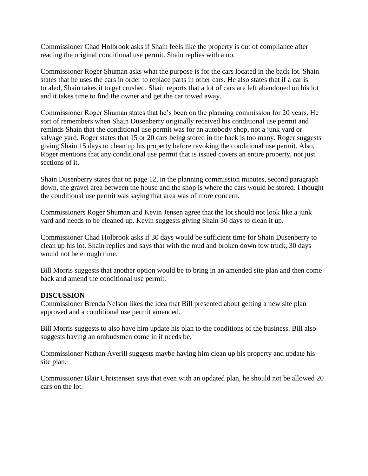Commissioner Chad Holbrook asks if Shain feels like the property is out of compliance after reading the original conditional use permit. Shain replies with a no.

Commissioner Roger Shuman asks what the purpose is for the cars located in the back lot. Shain states that he uses the cars in order to replace parts in other cars. He also states that if a car is totaled, Shain takes it to get crushed. Shain reports that a lot of cars are left abandoned on his lot and it takes time to find the owner and get the car towed away.

Commissioner Roger Shuman states that he's been on the planning commission for 20 years. He sort of remembers when Shain Dusenberry originally received his conditional use permit and reminds Shain that the conditional use permit was for an autobody shop, not a junk yard or salvage yard. Roger states that 15 or 20 cars being stored in the back is too many. Roger suggests giving Shain 15 days to clean up his property before revoking the conditional use permit. Also, Roger mentions that any conditional use permit that is issued covers an entire property, not just sections of it.

Shain Dusenberry states that on page 12, in the planning commission minutes, second paragraph down, the gravel area between the house and the shop is where the cars would be stored. I thought the conditional use permit was saying that area was of more concern.

Commissioners Roger Shuman and Kevin Jensen agree that the lot should not look like a junk yard and needs to be cleaned up. Kevin suggests giving Shain 30 days to clean it up.

Commissioner Chad Holbrook asks if 30 days would be sufficient time for Shain Dusenberry to clean up his lot. Shain replies and says that with the mud and broken down tow truck, 30 days would not be enough time.

Bill Morris suggests that another option would be to bring in an amended site plan and then come back and amend the conditional use permit.

## **DISCUSSION**

Commissioner Brenda Nelson likes the idea that Bill presented about getting a new site plan approved and a conditional use permit amended.

Bill Morris suggests to also have him update his plan to the conditions of the business. Bill also suggests having an ombudsmen come in if needs be.

Commissioner Nathan Averill suggests maybe having him clean up his property and update his site plan.

Commissioner Blair Christensen says that even with an updated plan, he should not be allowed 20 cars on the lot.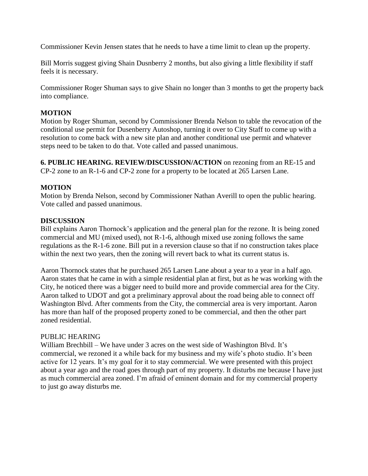Commissioner Kevin Jensen states that he needs to have a time limit to clean up the property.

Bill Morris suggest giving Shain Dusnberry 2 months, but also giving a little flexibility if staff feels it is necessary.

Commissioner Roger Shuman says to give Shain no longer than 3 months to get the property back into compliance.

## **MOTION**

Motion by Roger Shuman, second by Commissioner Brenda Nelson to table the revocation of the conditional use permit for Dusenberry Autoshop, turning it over to City Staff to come up with a resolution to come back with a new site plan and another conditional use permit and whatever steps need to be taken to do that. Vote called and passed unanimous.

**6. PUBLIC HEARING. REVIEW/DISCUSSION/ACTION** on rezoning from an RE-15 and CP-2 zone to an R-1-6 and CP-2 zone for a property to be located at 265 Larsen Lane.

## **MOTION**

Motion by Brenda Nelson, second by Commissioner Nathan Averill to open the public hearing. Vote called and passed unanimous.

#### **DISCUSSION**

Bill explains Aaron Thornock's application and the general plan for the rezone. It is being zoned commercial and MU (mixed used), not R-1-6, although mixed use zoning follows the same regulations as the R-1-6 zone. Bill put in a reversion clause so that if no construction takes place within the next two years, then the zoning will revert back to what its current status is.

Aaron Thornock states that he purchased 265 Larsen Lane about a year to a year in a half ago. Aaron states that he came in with a simple residential plan at first, but as he was working with the City, he noticed there was a bigger need to build more and provide commercial area for the City. Aaron talked to UDOT and got a preliminary approval about the road being able to connect off Washington Blvd. After comments from the City, the commercial area is very important. Aaron has more than half of the proposed property zoned to be commercial, and then the other part zoned residential.

#### PUBLIC HEARING

William Brechbill – We have under 3 acres on the west side of Washington Blvd. It's commercial, we rezoned it a while back for my business and my wife's photo studio. It's been active for 12 years. It's my goal for it to stay commercial. We were presented with this project about a year ago and the road goes through part of my property. It disturbs me because I have just as much commercial area zoned. I'm afraid of eminent domain and for my commercial property to just go away disturbs me.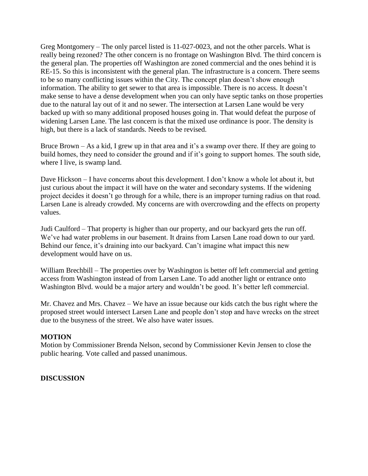Greg Montgomery – The only parcel listed is 11-027-0023, and not the other parcels. What is really being rezoned? The other concern is no frontage on Washington Blvd. The third concern is the general plan. The properties off Washington are zoned commercial and the ones behind it is RE-15. So this is inconsistent with the general plan. The infrastructure is a concern. There seems to be so many conflicting issues within the City. The concept plan doesn't show enough information. The ability to get sewer to that area is impossible. There is no access. It doesn't make sense to have a dense development when you can only have septic tanks on those properties due to the natural lay out of it and no sewer. The intersection at Larsen Lane would be very backed up with so many additional proposed houses going in. That would defeat the purpose of widening Larsen Lane. The last concern is that the mixed use ordinance is poor. The density is high, but there is a lack of standards. Needs to be revised.

Bruce Brown – As a kid, I grew up in that area and it's a swamp over there. If they are going to build homes, they need to consider the ground and if it's going to support homes. The south side, where I live, is swamp land.

Dave Hickson – I have concerns about this development. I don't know a whole lot about it, but just curious about the impact it will have on the water and secondary systems. If the widening project decides it doesn't go through for a while, there is an improper turning radius on that road. Larsen Lane is already crowded. My concerns are with overcrowding and the effects on property values.

Judi Caulford – That property is higher than our property, and our backyard gets the run off. We've had water problems in our basement. It drains from Larsen Lane road down to our yard. Behind our fence, it's draining into our backyard. Can't imagine what impact this new development would have on us.

William Brechbill – The properties over by Washington is better off left commercial and getting access from Washington instead of from Larsen Lane. To add another light or entrance onto Washington Blvd. would be a major artery and wouldn't be good. It's better left commercial.

Mr. Chavez and Mrs. Chavez – We have an issue because our kids catch the bus right where the proposed street would intersect Larsen Lane and people don't stop and have wrecks on the street due to the busyness of the street. We also have water issues.

## **MOTION**

Motion by Commissioner Brenda Nelson, second by Commissioner Kevin Jensen to close the public hearing. Vote called and passed unanimous.

#### **DISCUSSION**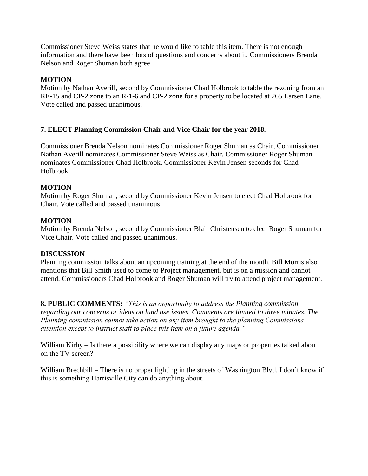Commissioner Steve Weiss states that he would like to table this item. There is not enough information and there have been lots of questions and concerns about it. Commissioners Brenda Nelson and Roger Shuman both agree.

## **MOTION**

Motion by Nathan Averill, second by Commissioner Chad Holbrook to table the rezoning from an RE-15 and CP-2 zone to an R-1-6 and CP-2 zone for a property to be located at 265 Larsen Lane. Vote called and passed unanimous.

# **7. ELECT Planning Commission Chair and Vice Chair for the year 2018.**

Commissioner Brenda Nelson nominates Commissioner Roger Shuman as Chair, Commissioner Nathan Averill nominates Commissioner Steve Weiss as Chair. Commissioner Roger Shuman nominates Commissioner Chad Holbrook. Commissioner Kevin Jensen seconds for Chad Holbrook.

## **MOTION**

Motion by Roger Shuman, second by Commissioner Kevin Jensen to elect Chad Holbrook for Chair. Vote called and passed unanimous.

## **MOTION**

Motion by Brenda Nelson, second by Commissioner Blair Christensen to elect Roger Shuman for Vice Chair. Vote called and passed unanimous.

## **DISCUSSION**

Planning commission talks about an upcoming training at the end of the month. Bill Morris also mentions that Bill Smith used to come to Project management, but is on a mission and cannot attend. Commissioners Chad Holbrook and Roger Shuman will try to attend project management.

**8. PUBLIC COMMENTS:** *"This is an opportunity to address the Planning commission regarding our concerns or ideas on land use issues. Comments are limited to three minutes. The Planning commission cannot take action on any item brought to the planning Commissions' attention except to instruct staff to place this item on a future agenda."*

William Kirby – Is there a possibility where we can display any maps or properties talked about on the TV screen?

William Brechbill – There is no proper lighting in the streets of Washington Blvd. I don't know if this is something Harrisville City can do anything about.